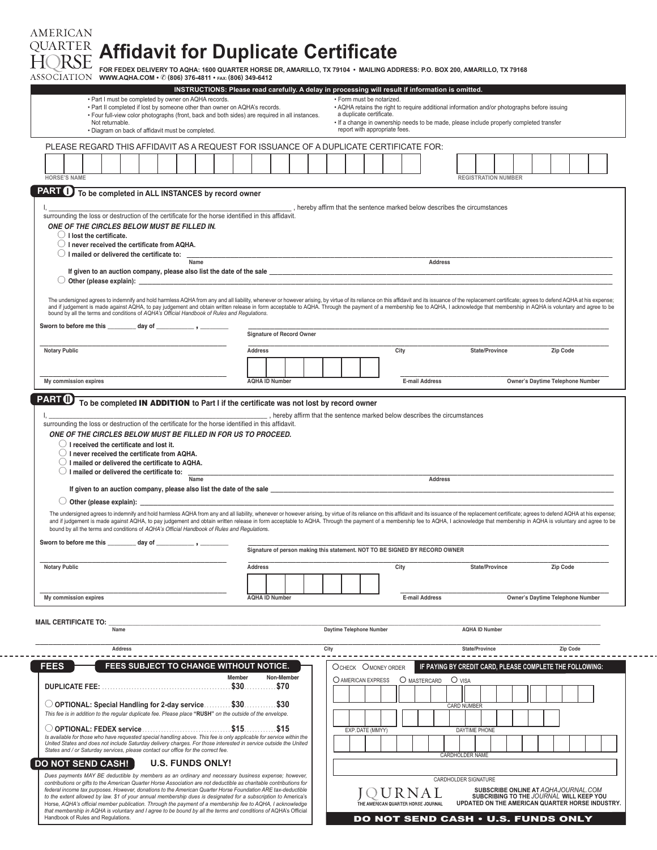## **AMERICAN Affidavit for Duplicate Certificate**

|                                                         |                                    |                                                                                                                                                                                                                                                                                                                               | INSTRUCTIONS: Please read carefully. A delay in processing will result if information is omitted. |        |                                  |            |                                                                             |                                    |      |                                                                                              |                      |                                                                                            |                                  |          |  |
|---------------------------------------------------------|------------------------------------|-------------------------------------------------------------------------------------------------------------------------------------------------------------------------------------------------------------------------------------------------------------------------------------------------------------------------------|---------------------------------------------------------------------------------------------------|--------|----------------------------------|------------|-----------------------------------------------------------------------------|------------------------------------|------|----------------------------------------------------------------------------------------------|----------------------|--------------------------------------------------------------------------------------------|----------------------------------|----------|--|
|                                                         |                                    | . Part I must be completed by owner on AQHA records.<br>. Part II completed if lost by someone other than owner on AQHA's records.                                                                                                                                                                                            |                                                                                                   |        |                                  |            |                                                                             | • Form must be notarized.          |      | • AQHA retains the right to require additional information and/or photographs before issuing |                      |                                                                                            |                                  |          |  |
|                                                         |                                    | . Four full-view color photographs (front, back and both sides) are required in all instances.                                                                                                                                                                                                                                |                                                                                                   |        |                                  |            |                                                                             | a duplicate certificate.           |      |                                                                                              |                      |                                                                                            |                                  |          |  |
|                                                         | Not returnable.                    | · Diagram on back of affidavit must be completed.                                                                                                                                                                                                                                                                             |                                                                                                   |        |                                  |            |                                                                             | report with appropriate fees.      |      | . If a change in ownership needs to be made, please include properly completed transfer      |                      |                                                                                            |                                  |          |  |
|                                                         |                                    | PLEASE REGARD THIS AFFIDAVIT AS A REQUEST FOR ISSUANCE OF A DUPLICATE CERTIFICATE FOR:                                                                                                                                                                                                                                        |                                                                                                   |        |                                  |            |                                                                             |                                    |      |                                                                                              |                      |                                                                                            |                                  |          |  |
|                                                         |                                    |                                                                                                                                                                                                                                                                                                                               |                                                                                                   |        |                                  |            |                                                                             |                                    |      |                                                                                              |                      |                                                                                            |                                  |          |  |
|                                                         |                                    |                                                                                                                                                                                                                                                                                                                               |                                                                                                   |        |                                  |            |                                                                             |                                    |      |                                                                                              |                      |                                                                                            |                                  |          |  |
| <b>HORSE'S NAME</b>                                     |                                    |                                                                                                                                                                                                                                                                                                                               |                                                                                                   |        |                                  |            |                                                                             |                                    |      |                                                                                              |                      | <b>REGISTRATION NUMBER</b>                                                                 |                                  |          |  |
| <b>PART (D)</b>                                         |                                    | To be completed in ALL INSTANCES by record owner                                                                                                                                                                                                                                                                              |                                                                                                   |        |                                  |            |                                                                             |                                    |      |                                                                                              |                      |                                                                                            |                                  |          |  |
|                                                         |                                    |                                                                                                                                                                                                                                                                                                                               |                                                                                                   |        |                                  |            |                                                                             |                                    |      |                                                                                              |                      |                                                                                            |                                  |          |  |
|                                                         |                                    | surrounding the loss or destruction of the certificate for the horse identified in this affidavit.                                                                                                                                                                                                                            |                                                                                                   |        |                                  |            | , hereby affirm that the sentence marked below describes the circumstances  |                                    |      |                                                                                              |                      |                                                                                            |                                  |          |  |
|                                                         |                                    |                                                                                                                                                                                                                                                                                                                               |                                                                                                   |        |                                  |            |                                                                             |                                    |      |                                                                                              |                      |                                                                                            |                                  |          |  |
|                                                         |                                    | ONE OF THE CIRCLES BELOW MUST BE FILLED IN.                                                                                                                                                                                                                                                                                   |                                                                                                   |        |                                  |            |                                                                             |                                    |      |                                                                                              |                      |                                                                                            |                                  |          |  |
|                                                         | $\bigcirc$ I lost the certificate. | $\bigcirc$ I never received the certificate from AQHA.                                                                                                                                                                                                                                                                        |                                                                                                   |        |                                  |            |                                                                             |                                    |      |                                                                                              |                      |                                                                                            |                                  |          |  |
|                                                         |                                    | $\bigcirc$ I mailed or delivered the certificate to:                                                                                                                                                                                                                                                                          |                                                                                                   |        |                                  |            |                                                                             |                                    |      |                                                                                              |                      |                                                                                            |                                  |          |  |
|                                                         |                                    |                                                                                                                                                                                                                                                                                                                               | Name                                                                                              |        |                                  |            |                                                                             |                                    |      | <b>Address</b>                                                                               |                      |                                                                                            |                                  |          |  |
|                                                         |                                    | If given to an auction company, please also list the date of the sale experience of the sale experience of the sale                                                                                                                                                                                                           |                                                                                                   |        |                                  |            |                                                                             |                                    |      |                                                                                              |                      |                                                                                            |                                  |          |  |
|                                                         |                                    |                                                                                                                                                                                                                                                                                                                               |                                                                                                   |        |                                  |            |                                                                             |                                    |      |                                                                                              |                      |                                                                                            |                                  |          |  |
|                                                         |                                    |                                                                                                                                                                                                                                                                                                                               |                                                                                                   |        |                                  |            |                                                                             |                                    |      |                                                                                              |                      |                                                                                            |                                  |          |  |
|                                                         |                                    | The undersigned agrees to indemnify and hold harmless AQHA from any and all liability, whenever or however arising, by virtue of its reliance on this affidavit and its issuance of the replacement certificate; agrees to def                                                                                                |                                                                                                   |        |                                  |            |                                                                             |                                    |      |                                                                                              |                      |                                                                                            |                                  |          |  |
|                                                         |                                    | bound by all the terms and conditions of AQHA's Official Handbook of Rules and Regulations.                                                                                                                                                                                                                                   |                                                                                                   |        |                                  |            |                                                                             |                                    |      |                                                                                              |                      |                                                                                            |                                  |          |  |
|                                                         |                                    |                                                                                                                                                                                                                                                                                                                               |                                                                                                   |        |                                  |            |                                                                             |                                    |      |                                                                                              |                      |                                                                                            |                                  |          |  |
|                                                         |                                    |                                                                                                                                                                                                                                                                                                                               |                                                                                                   |        | <b>Signature of Record Owner</b> |            |                                                                             |                                    |      |                                                                                              |                      |                                                                                            |                                  |          |  |
|                                                         |                                    |                                                                                                                                                                                                                                                                                                                               |                                                                                                   |        |                                  |            |                                                                             |                                    |      |                                                                                              |                      |                                                                                            |                                  |          |  |
| <b>Notary Public</b>                                    |                                    |                                                                                                                                                                                                                                                                                                                               |                                                                                                   |        | Address                          |            |                                                                             |                                    | City |                                                                                              |                      | State/Province                                                                             |                                  | Zip Code |  |
|                                                         |                                    |                                                                                                                                                                                                                                                                                                                               |                                                                                                   |        |                                  |            |                                                                             |                                    |      |                                                                                              |                      |                                                                                            |                                  |          |  |
|                                                         |                                    |                                                                                                                                                                                                                                                                                                                               |                                                                                                   |        |                                  |            |                                                                             |                                    |      |                                                                                              |                      |                                                                                            |                                  |          |  |
| My commission expires                                   |                                    |                                                                                                                                                                                                                                                                                                                               |                                                                                                   |        | <b>AQHA ID Number</b>            |            |                                                                             |                                    |      | <b>E-mail Address</b>                                                                        |                      |                                                                                            | Owner's Daytime Telephone Number |          |  |
| PART (D)                                                |                                    | To be completed IN ADDITION to Part I if the certificate was not lost by record owner                                                                                                                                                                                                                                         |                                                                                                   |        |                                  |            |                                                                             |                                    |      |                                                                                              |                      |                                                                                            |                                  |          |  |
|                                                         |                                    | $\bigcirc$ I never received the certificate from AQHA.                                                                                                                                                                                                                                                                        |                                                                                                   |        |                                  |            |                                                                             |                                    |      |                                                                                              |                      |                                                                                            |                                  |          |  |
|                                                         |                                    | $\bigcirc$ I mailed or delivered the certificate to AQHA.<br>$\bigcirc$ I mailed or delivered the certificate to:                                                                                                                                                                                                             |                                                                                                   |        |                                  |            |                                                                             |                                    |      |                                                                                              |                      |                                                                                            |                                  |          |  |
|                                                         |                                    |                                                                                                                                                                                                                                                                                                                               | Name                                                                                              |        |                                  |            |                                                                             |                                    |      | Address                                                                                      |                      |                                                                                            |                                  |          |  |
|                                                         |                                    |                                                                                                                                                                                                                                                                                                                               |                                                                                                   |        |                                  |            |                                                                             |                                    |      |                                                                                              |                      |                                                                                            |                                  |          |  |
|                                                         |                                    |                                                                                                                                                                                                                                                                                                                               |                                                                                                   |        |                                  |            |                                                                             |                                    |      |                                                                                              |                      |                                                                                            |                                  |          |  |
|                                                         |                                    | The undersigned agrees to indemnify and hold harmless AQHA from any and all liability, whenever or however arising, by virtue of its reliance on this affidavit and its issuance of the replacement certificate; agrees to def                                                                                                |                                                                                                   |        |                                  |            |                                                                             |                                    |      |                                                                                              |                      |                                                                                            |                                  |          |  |
|                                                         |                                    | and if judgement is made against AQHA, to pay judgement and obtain written release in form acceptable to AQHA. Through the payment of a membership fee to AQHA, I acknowledge that membership in AQHA is voluntary and agree t<br>bound by all the terms and conditions of AQHA's Official Handbook of Rules and Regulations. |                                                                                                   |        |                                  |            |                                                                             |                                    |      |                                                                                              |                      |                                                                                            |                                  |          |  |
|                                                         |                                    |                                                                                                                                                                                                                                                                                                                               |                                                                                                   |        |                                  |            |                                                                             |                                    |      |                                                                                              |                      |                                                                                            |                                  |          |  |
|                                                         |                                    |                                                                                                                                                                                                                                                                                                                               |                                                                                                   |        |                                  |            | Signature of person making this statement. NOT TO BE SIGNED BY RECORD OWNER |                                    |      |                                                                                              |                      |                                                                                            |                                  |          |  |
| Sworn to before me this day of                          |                                    |                                                                                                                                                                                                                                                                                                                               |                                                                                                   |        |                                  |            |                                                                             |                                    |      |                                                                                              |                      |                                                                                            |                                  |          |  |
| <b>Notary Public</b>                                    |                                    |                                                                                                                                                                                                                                                                                                                               |                                                                                                   |        | <b>Address</b>                   |            |                                                                             |                                    | City |                                                                                              |                      | State/Province                                                                             |                                  | Zip Code |  |
|                                                         |                                    |                                                                                                                                                                                                                                                                                                                               |                                                                                                   |        |                                  |            |                                                                             |                                    |      |                                                                                              |                      |                                                                                            |                                  |          |  |
|                                                         |                                    |                                                                                                                                                                                                                                                                                                                               |                                                                                                   |        |                                  |            |                                                                             |                                    |      |                                                                                              |                      |                                                                                            |                                  |          |  |
| My commission expires                                   |                                    |                                                                                                                                                                                                                                                                                                                               |                                                                                                   |        | <b>AQHA ID Number</b>            |            |                                                                             |                                    |      | <b>E-mail Address</b>                                                                        |                      |                                                                                            | Owner's Daytime Telephone Number |          |  |
|                                                         |                                    |                                                                                                                                                                                                                                                                                                                               |                                                                                                   |        |                                  |            |                                                                             |                                    |      |                                                                                              |                      |                                                                                            |                                  |          |  |
|                                                         |                                    |                                                                                                                                                                                                                                                                                                                               |                                                                                                   |        |                                  |            |                                                                             |                                    |      |                                                                                              |                      |                                                                                            |                                  |          |  |
|                                                         |                                    | Name                                                                                                                                                                                                                                                                                                                          |                                                                                                   |        |                                  |            | Daytime Telephone Number                                                    |                                    |      |                                                                                              |                      | <b>AQHA ID Number</b>                                                                      |                                  |          |  |
|                                                         |                                    |                                                                                                                                                                                                                                                                                                                               |                                                                                                   |        |                                  |            |                                                                             |                                    |      |                                                                                              |                      |                                                                                            |                                  |          |  |
|                                                         |                                    | <b>Address</b>                                                                                                                                                                                                                                                                                                                |                                                                                                   |        |                                  |            | City                                                                        |                                    |      |                                                                                              |                      | State/Province                                                                             |                                  | Zip Code |  |
| FEES                                                    |                                    | <b>FEES SUBJECT TO CHANGE WITHOUT NOTICE.</b>                                                                                                                                                                                                                                                                                 |                                                                                                   |        |                                  |            | OCHECK OMONEY ORDER                                                         |                                    |      | IF PAYING BY CREDIT CARD. PLEASE COMPLETE THE FOLLOWING:                                     |                      |                                                                                            |                                  |          |  |
|                                                         |                                    |                                                                                                                                                                                                                                                                                                                               |                                                                                                   | Member |                                  | Non-Member |                                                                             |                                    |      |                                                                                              |                      |                                                                                            |                                  |          |  |
| <b>DUPLICATE FEE:</b>                                   |                                    |                                                                                                                                                                                                                                                                                                                               |                                                                                                   |        |                                  |            | O AMERICAN EXPRESS                                                          |                                    |      | O MASTERCARD O VISA                                                                          |                      |                                                                                            |                                  |          |  |
|                                                         |                                    |                                                                                                                                                                                                                                                                                                                               |                                                                                                   |        |                                  |            |                                                                             |                                    |      |                                                                                              |                      |                                                                                            |                                  |          |  |
|                                                         |                                    | O OPTIONAL: Special Handling for 2-day service \$30 \$30                                                                                                                                                                                                                                                                      |                                                                                                   |        |                                  |            |                                                                             |                                    |      |                                                                                              | <b>CARD NUMBER</b>   |                                                                                            |                                  |          |  |
|                                                         |                                    | This fee is in addition to the regular duplicate fee. Please place "RUSH" on the outside of the envelope.                                                                                                                                                                                                                     |                                                                                                   |        |                                  |            |                                                                             |                                    |      |                                                                                              |                      |                                                                                            |                                  |          |  |
|                                                         |                                    |                                                                                                                                                                                                                                                                                                                               |                                                                                                   |        |                                  |            |                                                                             | EXP. DATE (MMYY)                   |      |                                                                                              | DAYTIME PHONE        |                                                                                            |                                  |          |  |
|                                                         |                                    | Is available for those who have requested special handling above. This fee is only applicable for service within the                                                                                                                                                                                                          |                                                                                                   |        |                                  |            |                                                                             |                                    |      |                                                                                              |                      |                                                                                            |                                  |          |  |
|                                                         |                                    | United States and does not include Saturday delivery charges. For those interested in service outside the United<br>States and / or Saturday services, please contact our office for the correct fee.                                                                                                                         |                                                                                                   |        |                                  |            |                                                                             |                                    |      |                                                                                              |                      |                                                                                            |                                  |          |  |
|                                                         |                                    |                                                                                                                                                                                                                                                                                                                               |                                                                                                   |        |                                  |            |                                                                             |                                    |      |                                                                                              | CARDHOLDER NAME      |                                                                                            |                                  |          |  |
|                                                         |                                    |                                                                                                                                                                                                                                                                                                                               | <b>U.S. FUNDS ONLY!</b>                                                                           |        |                                  |            |                                                                             |                                    |      |                                                                                              |                      |                                                                                            |                                  |          |  |
|                                                         |                                    | Dues payments MAY BE deductible by members as an ordinary and necessary business expense; however,<br>contributions or gifts to the American Quarter Horse Association are not deductible as charitable contributions for                                                                                                     |                                                                                                   |        |                                  |            |                                                                             |                                    |      |                                                                                              | CARDHOLDER SIGNATURE |                                                                                            |                                  |          |  |
|                                                         |                                    | federal income tax purposes. However, donations to the American Quarter Horse Foundation ARE tax-deductible                                                                                                                                                                                                                   |                                                                                                   |        |                                  |            |                                                                             |                                    |      |                                                                                              |                      | SUBSCRIBE ONLINE AT AQHAJOURNAL.COM                                                        |                                  |          |  |
| <b>MAIL CERTIFICATE TO:</b><br><b>DO NOT SEND CASH!</b> |                                    | to the extent allowed by law. \$1 of your annual membership dues is designated for a subscription to America's<br>Horse, AQHA's official member publication. Through the payment of a membership fee to AQHA, I acknowledge                                                                                                   |                                                                                                   |        |                                  |            |                                                                             | THE AMERICAN QUARTER HORSE JOURNAL | R N  |                                                                                              |                      | SUBCRIBING TO THE JOURNAL WILL KEEP YOU<br>UPDATED ON THE AMERICAN QUARTER HORSE INDUSTRY. |                                  |          |  |